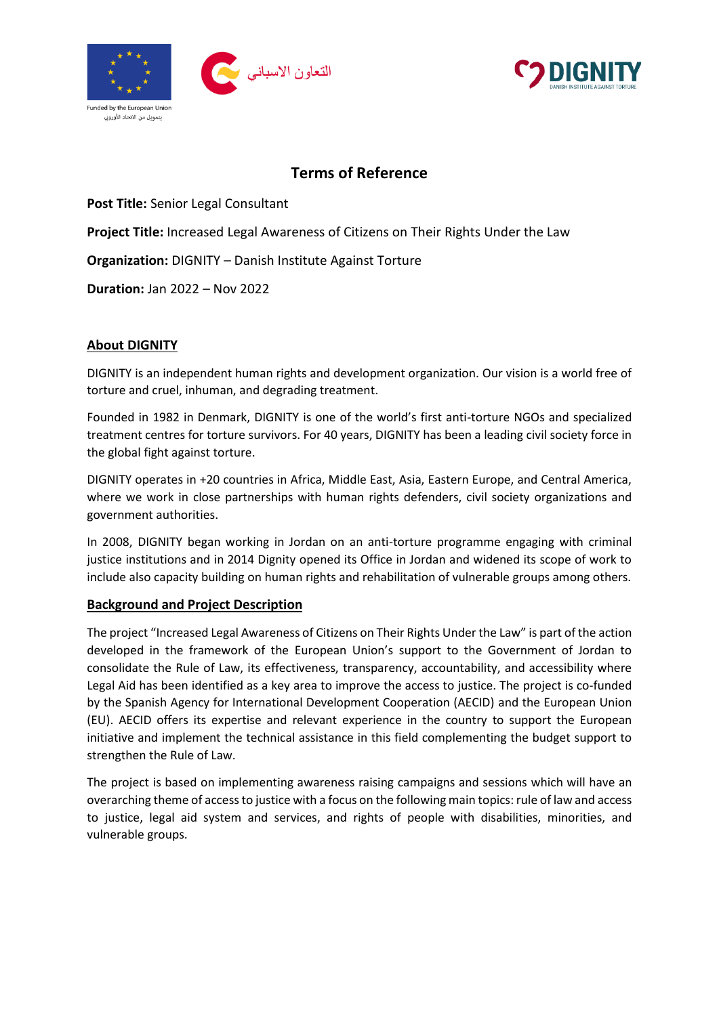



# **Terms of Reference**

**Post Title:** Senior Legal Consultant

**Project Title:** Increased Legal Awareness of Citizens on Their Rights Under the Law

**Organization:** DIGNITY – Danish Institute Against Torture

**Duration:** Jan 2022 – Nov 2022

## **About DIGNITY**

DIGNITY is an independent human rights and development organization. Our vision is a world free of torture and cruel, inhuman, and degrading treatment.

Founded in 1982 in Denmark, DIGNITY is one of the world's first anti-torture NGOs and specialized treatment centres for torture survivors. For 40 years, DIGNITY has been a leading civil society force in the global fight against torture.

DIGNITY operates in +20 countries in Africa, Middle East, Asia, Eastern Europe, and Central America, where we work in close partnerships with human rights defenders, civil society organizations and government authorities.

In 2008, DIGNITY began working in Jordan on an anti-torture programme engaging with criminal justice institutions and in 2014 Dignity opened its Office in Jordan and widened its scope of work to include also capacity building on human rights and rehabilitation of vulnerable groups among others.

### **Background and Project Description**

The project "Increased Legal Awareness of Citizens on Their Rights Under the Law" is part of the action developed in the framework of the European Union's support to the Government of Jordan to consolidate the Rule of Law, its effectiveness, transparency, accountability, and accessibility where Legal Aid has been identified as a key area to improve the access to justice. The project is co-funded by the Spanish Agency for International Development Cooperation (AECID) and the European Union (EU). AECID offers its expertise and relevant experience in the country to support the European initiative and implement the technical assistance in this field complementing the budget support to strengthen the Rule of Law.

The project is based on implementing awareness raising campaigns and sessions which will have an overarching theme of access to justice with a focus on the following main topics: rule of law and access to justice, legal aid system and services, and rights of people with disabilities, minorities, and vulnerable groups.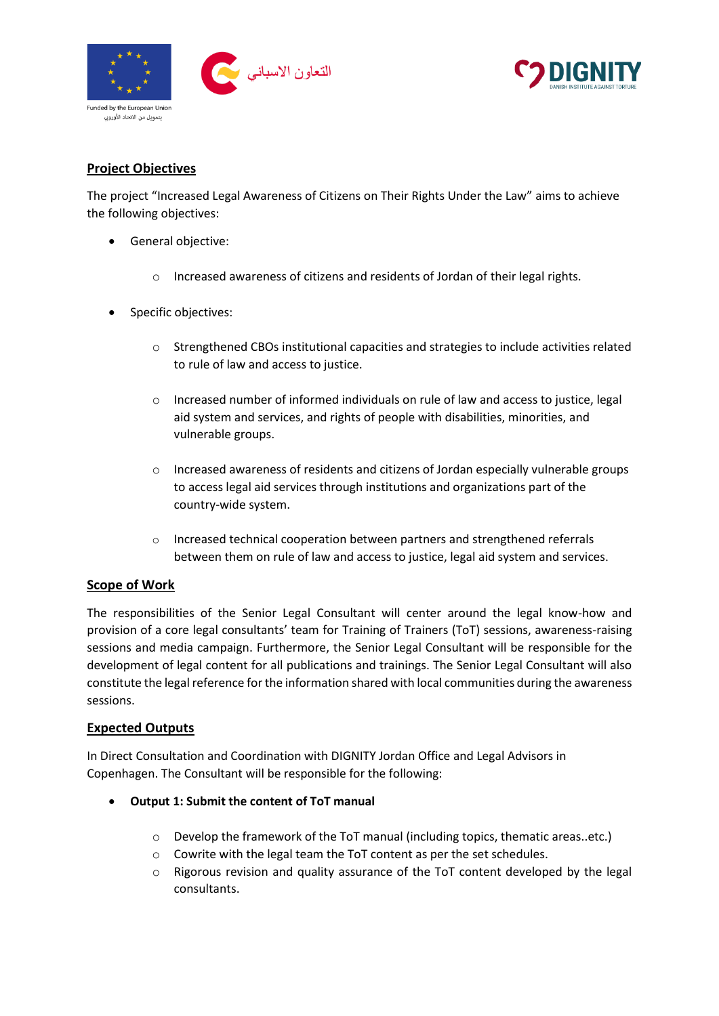



## **Project Objectives**

The project "Increased Legal Awareness of Citizens on Their Rights Under the Law" aims to achieve the following objectives:

- General objective:
	- o Increased awareness of citizens and residents of Jordan of their legal rights.
- Specific objectives:
	- o Strengthened CBOs institutional capacities and strategies to include activities related to rule of law and access to justice.
	- o Increased number of informed individuals on rule of law and access to justice, legal aid system and services, and rights of people with disabilities, minorities, and vulnerable groups.
	- o Increased awareness of residents and citizens of Jordan especially vulnerable groups to access legal aid services through institutions and organizations part of the country-wide system.
	- o Increased technical cooperation between partners and strengthened referrals between them on rule of law and access to justice, legal aid system and services.

### **Scope of Work**

The responsibilities of the Senior Legal Consultant will center around the legal know-how and provision of a core legal consultants' team for Training of Trainers (ToT) sessions, awareness-raising sessions and media campaign. Furthermore, the Senior Legal Consultant will be responsible for the development of legal content for all publications and trainings. The Senior Legal Consultant will also constitute the legal reference for the information shared with local communities during the awareness sessions.

#### **Expected Outputs**

In Direct Consultation and Coordination with DIGNITY Jordan Office and Legal Advisors in Copenhagen. The Consultant will be responsible for the following:

- **Output 1: Submit the content of ToT manual**
	- $\circ$  Develop the framework of the ToT manual (including topics, thematic areas..etc.)
	- o Cowrite with the legal team the ToT content as per the set schedules.
	- o Rigorous revision and quality assurance of the ToT content developed by the legal consultants.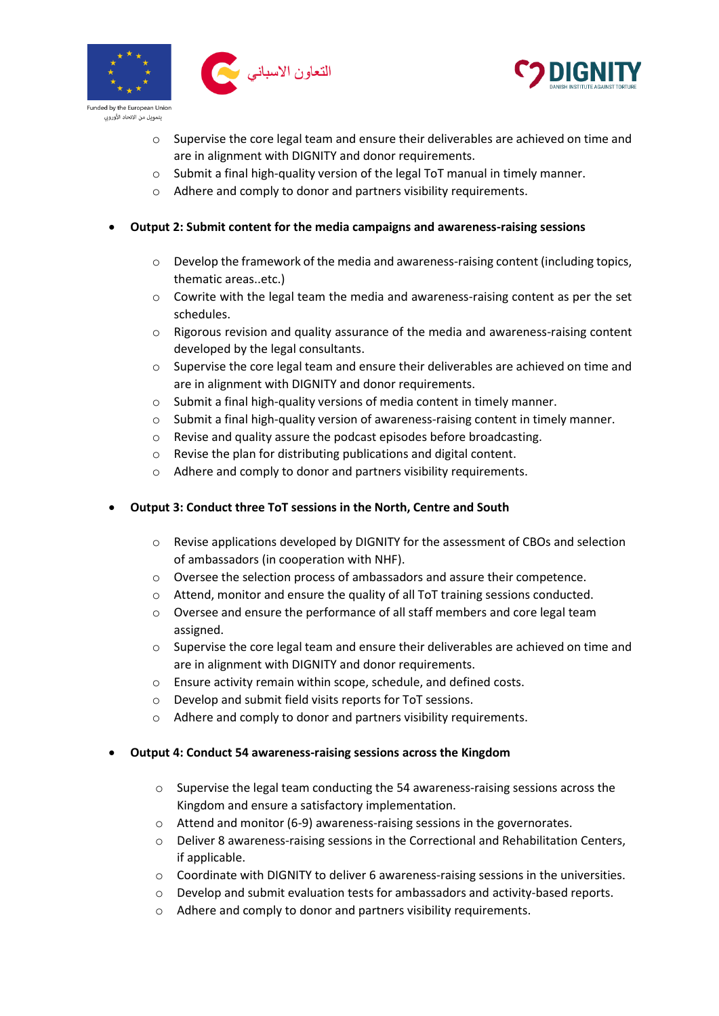



- o Supervise the core legal team and ensure their deliverables are achieved on time and are in alignment with DIGNITY and donor requirements.
- o Submit a final high-quality version of the legal ToT manual in timely manner.
- o Adhere and comply to donor and partners visibility requirements.
- **Output 2: Submit content for the media campaigns and awareness-raising sessions**
	- $\circ$  Develop the framework of the media and awareness-raising content (including topics, thematic areas..etc.)
	- o Cowrite with the legal team the media and awareness-raising content as per the set schedules.
	- $\circ$  Rigorous revision and quality assurance of the media and awareness-raising content developed by the legal consultants.
	- $\circ$  Supervise the core legal team and ensure their deliverables are achieved on time and are in alignment with DIGNITY and donor requirements.
	- o Submit a final high-quality versions of media content in timely manner.
	- $\circ$  Submit a final high-quality version of awareness-raising content in timely manner.
	- o Revise and quality assure the podcast episodes before broadcasting.
	- o Revise the plan for distributing publications and digital content.
	- o Adhere and comply to donor and partners visibility requirements.
- **Output 3: Conduct three ToT sessions in the North, Centre and South**
	- $\circ$  Revise applications developed by DIGNITY for the assessment of CBOs and selection of ambassadors (in cooperation with NHF).
	- o Oversee the selection process of ambassadors and assure their competence.
	- o Attend, monitor and ensure the quality of all ToT training sessions conducted.
	- o Oversee and ensure the performance of all staff members and core legal team assigned.
	- o Supervise the core legal team and ensure their deliverables are achieved on time and are in alignment with DIGNITY and donor requirements.
	- o Ensure activity remain within scope, schedule, and defined costs.
	- o Develop and submit field visits reports for ToT sessions.
	- o Adhere and comply to donor and partners visibility requirements.
- **Output 4: Conduct 54 awareness-raising sessions across the Kingdom**
	- $\circ$  Supervise the legal team conducting the 54 awareness-raising sessions across the Kingdom and ensure a satisfactory implementation.
	- o Attend and monitor (6-9) awareness-raising sessions in the governorates.
	- o Deliver 8 awareness-raising sessions in the Correctional and Rehabilitation Centers, if applicable.
	- o Coordinate with DIGNITY to deliver 6 awareness-raising sessions in the universities.
	- $\circ$  Develop and submit evaluation tests for ambassadors and activity-based reports.
	- o Adhere and comply to donor and partners visibility requirements.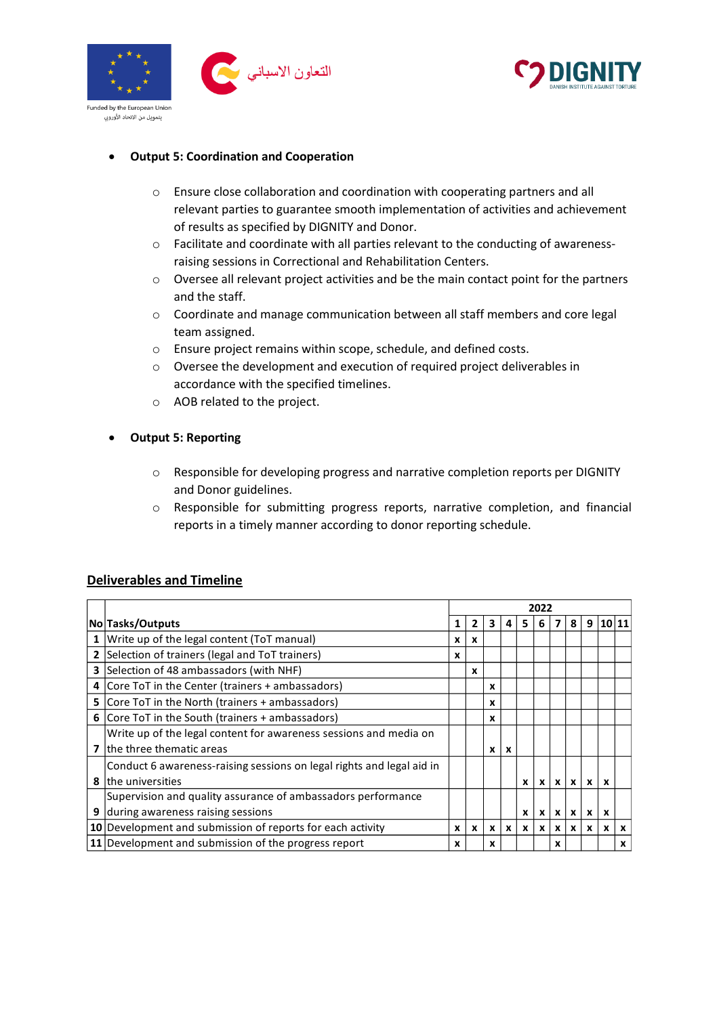



#### • **Output 5: Coordination and Cooperation**

- o Ensure close collaboration and coordination with cooperating partners and all relevant parties to guarantee smooth implementation of activities and achievement of results as specified by DIGNITY and Donor.
- o Facilitate and coordinate with all parties relevant to the conducting of awarenessraising sessions in Correctional and Rehabilitation Centers.
- $\circ$  Oversee all relevant project activities and be the main contact point for the partners and the staff.
- o Coordinate and manage communication between all staff members and core legal team assigned.
- o Ensure project remains within scope, schedule, and defined costs.
- o Oversee the development and execution of required project deliverables in accordance with the specified timelines.
- o AOB related to the project.
- **Output 5: Reporting**
	- o Responsible for developing progress and narrative completion reports per DIGNITY and Donor guidelines.
	- o Responsible for submitting progress reports, narrative completion, and financial reports in a timely manner according to donor reporting schedule.

|   |                                                                       | 2022 |              |              |                           |              |                  |              |              |              |                           |                           |
|---|-----------------------------------------------------------------------|------|--------------|--------------|---------------------------|--------------|------------------|--------------|--------------|--------------|---------------------------|---------------------------|
|   | No Tasks/Outputs                                                      |      | 2            | 3            | 4                         | 5            | 6.               | 7            | 8            |              | 9 10 11                   |                           |
|   | 1 Write up of the legal content (ToT manual)                          | x    | $\mathbf{x}$ |              |                           |              |                  |              |              |              |                           |                           |
|   | 2 Selection of trainers (legal and ToT trainers)                      | x    |              |              |                           |              |                  |              |              |              |                           |                           |
|   | 3 Selection of 48 ambassadors (with NHF)                              |      | X            |              |                           |              |                  |              |              |              |                           |                           |
|   | 4 Core ToT in the Center (trainers + ambassadors)                     |      |              | X            |                           |              |                  |              |              |              |                           |                           |
|   | <b>5</b> Core ToT in the North (trainers + ambassadors)               |      |              | X            |                           |              |                  |              |              |              |                           |                           |
|   | <b>6</b> Core ToT in the South (trainers $+$ ambassadors)             |      |              | x            |                           |              |                  |              |              |              |                           |                           |
|   | Write up of the legal content for awareness sessions and media on     |      |              |              |                           |              |                  |              |              |              |                           |                           |
| 7 | lthe three thematic areas                                             |      |              | x            | $\boldsymbol{\mathsf{x}}$ |              |                  |              |              |              |                           |                           |
|   | Conduct 6 awareness-raising sessions on legal rights and legal aid in |      |              |              |                           |              |                  |              |              |              |                           |                           |
| 8 | the universities                                                      |      |              |              |                           | $\mathbf{x}$ |                  |              | x x x x x    |              | $\boldsymbol{\mathsf{x}}$ |                           |
|   | Supervision and quality assurance of ambassadors performance          |      |              |              |                           |              |                  |              |              |              |                           |                           |
| 9 | during awareness raising sessions                                     |      |              |              |                           | x            | $\boldsymbol{x}$ | $\mathsf{x}$ | $\mathbf{x}$ | $\mathbf{x}$ | X                         |                           |
|   | 10 Development and submission of reports for each activity            | X    | $\mathbf{x}$ | $\mathbf{x}$ | $\mathbf{x}$              | $\mathbf{x}$ | $\mathbf{x}$     | $\mathbf{x}$ | $\mathbf{x}$ | $\mathbf{x}$ | $\mathbf{x}$              | $\boldsymbol{\mathsf{x}}$ |
|   | 11 Development and submission of the progress report                  | x    |              | x            |                           |              |                  | x            |              |              |                           | X                         |

#### **Deliverables and Timeline**